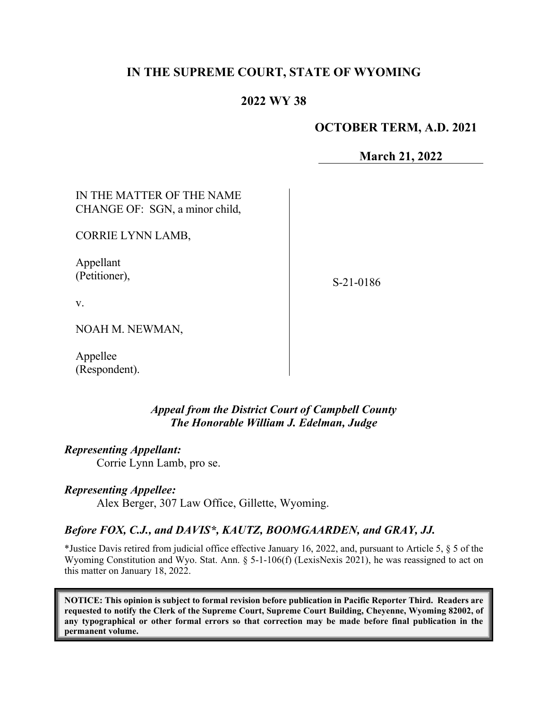# **IN THE SUPREME COURT, STATE OF WYOMING**

### **2022 WY 38**

#### **OCTOBER TERM, A.D. 2021**

**March 21, 2022**

IN THE MATTER OF THE NAME CHANGE OF: SGN, a minor child,

CORRIE LYNN LAMB,

Appellant (Petitioner),

S-21-0186

v.

NOAH M. NEWMAN,

Appellee (Respondent).

> *Appeal from the District Court of Campbell County The Honorable William J. Edelman, Judge*

*Representing Appellant:*

Corrie Lynn Lamb, pro se.

#### *Representing Appellee:*

Alex Berger, 307 Law Office, Gillette, Wyoming.

#### *Before FOX, C.J., and DAVIS\*, KAUTZ, BOOMGAARDEN, and GRAY, JJ.*

\*Justice Davis retired from judicial office effective January 16, 2022, and, pursuant to Article 5, § 5 of the Wyoming Constitution and Wyo. Stat. Ann. § 5-1-106(f) (LexisNexis 2021), he was reassigned to act on this matter on January 18, 2022.

**NOTICE: This opinion is subject to formal revision before publication in Pacific Reporter Third. Readers are requested to notify the Clerk of the Supreme Court, Supreme Court Building, Cheyenne, Wyoming 82002, of any typographical or other formal errors so that correction may be made before final publication in the permanent volume.**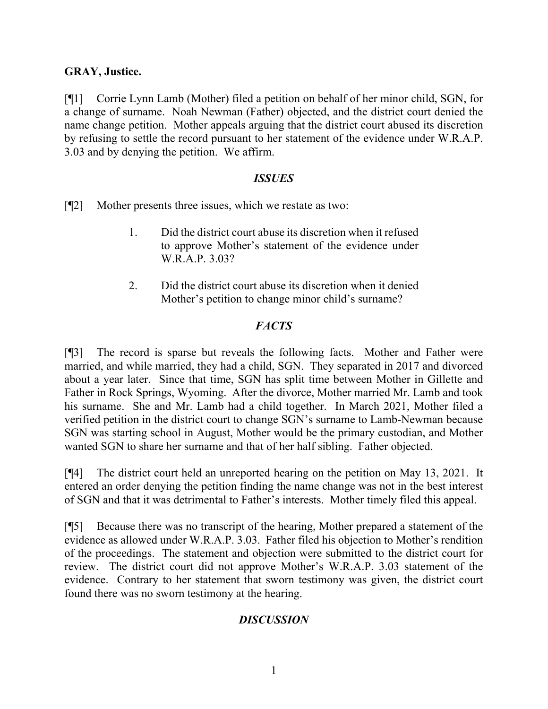### **GRAY, Justice.**

[¶1] Corrie Lynn Lamb (Mother) filed a petition on behalf of her minor child, SGN, for a change of surname. Noah Newman (Father) objected, and the district court denied the name change petition. Mother appeals arguing that the district court abused its discretion by refusing to settle the record pursuant to her statement of the evidence under W.R.A.P. 3.03 and by denying the petition. We affirm.

#### *ISSUES*

[¶2] Mother presents three issues, which we restate as two:

- 1. Did the district court abuse its discretion when it refused to approve Mother's statement of the evidence under W.R.A.P. 3.03?
- 2. Did the district court abuse its discretion when it denied Mother's petition to change minor child's surname?

### *FACTS*

[¶3] The record is sparse but reveals the following facts. Mother and Father were married, and while married, they had a child, SGN. They separated in 2017 and divorced about a year later. Since that time, SGN has split time between Mother in Gillette and Father in Rock Springs, Wyoming. After the divorce, Mother married Mr. Lamb and took his surname. She and Mr. Lamb had a child together. In March 2021, Mother filed a verified petition in the district court to change SGN's surname to Lamb-Newman because SGN was starting school in August, Mother would be the primary custodian, and Mother wanted SGN to share her surname and that of her half sibling. Father objected.

[¶4] The district court held an unreported hearing on the petition on May 13, 2021. It entered an order denying the petition finding the name change was not in the best interest of SGN and that it was detrimental to Father's interests. Mother timely filed this appeal.

[¶5] Because there was no transcript of the hearing, Mother prepared a statement of the evidence as allowed under W.R.A.P. 3.03. Father filed his objection to Mother's rendition of the proceedings. The statement and objection were submitted to the district court for review. The district court did not approve Mother's W.R.A.P. 3.03 statement of the evidence. Contrary to her statement that sworn testimony was given, the district court found there was no sworn testimony at the hearing.

### *DISCUSSION*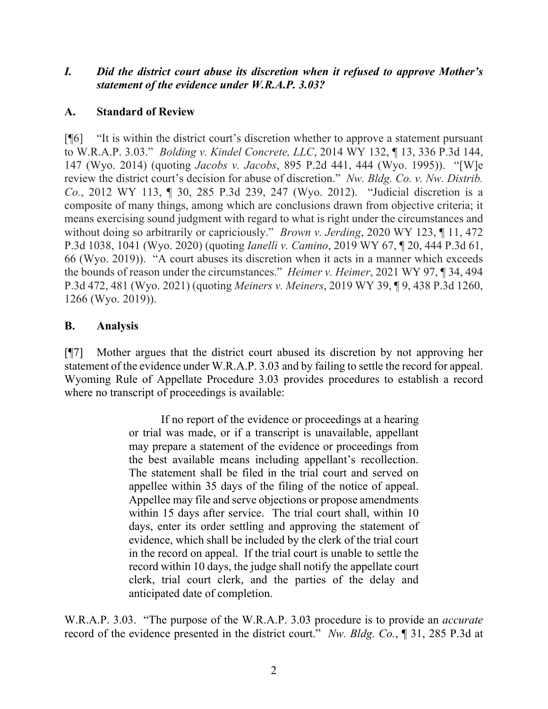#### *I. Did the district court abuse its discretion when it refused to approve Mother's statement of the evidence under W.R.A.P. 3.03?*

## **A. Standard of Review**

[¶6] "It is within the district court's discretion whether to approve a statement pursuant to W.R.A.P. 3.03." *Bolding v. Kindel Concrete, LLC*, 2014 WY 132, ¶ 13, 336 P.3d 144, 147 (Wyo. 2014) (quoting *Jacobs v. Jacobs*, 895 P.2d 441, 444 (Wyo. 1995)). "[W]e review the district court's decision for abuse of discretion." *Nw. Bldg. Co. v. Nw. Distrib. Co.*, 2012 WY 113, ¶ 30, 285 P.3d 239, 247 (Wyo. 2012). "Judicial discretion is a composite of many things, among which are conclusions drawn from objective criteria; it means exercising sound judgment with regard to what is right under the circumstances and without doing so arbitrarily or capriciously." *Brown v. Jerding*, 2020 WY 123, ¶ 11, 472 P.3d 1038, 1041 (Wyo. 2020) (quoting *Ianelli v. Camino*, 2019 WY 67, ¶ 20, 444 P.3d 61, 66 (Wyo. 2019)). "A court abuses its discretion when it acts in a manner which exceeds the bounds of reason under the circumstances." *Heimer v. Heimer*, 2021 WY 97, ¶ 34, 494 P.3d 472, 481 (Wyo. 2021) (quoting *Meiners v. Meiners*, 2019 WY 39, ¶ 9, 438 P.3d 1260, 1266 (Wyo. 2019)).

### **B. Analysis**

[¶7] Mother argues that the district court abused its discretion by not approving her statement of the evidence under W.R.A.P. 3.03 and by failing to settle the record for appeal. Wyoming Rule of Appellate Procedure 3.03 provides procedures to establish a record where no transcript of proceedings is available:

> If no report of the evidence or proceedings at a hearing or trial was made, or if a transcript is unavailable, appellant may prepare a statement of the evidence or proceedings from the best available means including appellant's recollection. The statement shall be filed in the trial court and served on appellee within 35 days of the filing of the notice of appeal. Appellee may file and serve objections or propose amendments within 15 days after service. The trial court shall, within 10 days, enter its order settling and approving the statement of evidence, which shall be included by the clerk of the trial court in the record on appeal. If the trial court is unable to settle the record within 10 days, the judge shall notify the appellate court clerk, trial court clerk, and the parties of the delay and anticipated date of completion.

W.R.A.P. 3.03. "The purpose of the W.R.A.P. 3.03 procedure is to provide an *accurate* record of the evidence presented in the district court." *Nw. Bldg. Co.*, ¶ 31, 285 P.3d at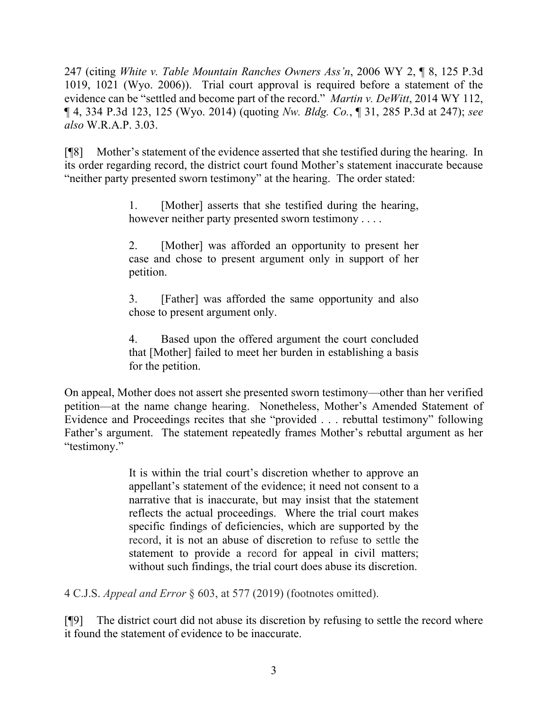247 (citing *White v. Table Mountain Ranches Owners Ass'n*, 2006 WY 2, ¶ 8, 125 P.3d 1019, 1021 (Wyo. 2006)). Trial court approval is required before a statement of the evidence can be "settled and become part of the record." *Martin v. DeWitt*, 2014 WY 112, ¶ 4, 334 P.3d 123, 125 (Wyo. 2014) (quoting *Nw. Bldg. Co.*, ¶ 31, 285 P.3d at 247); *see also* W.R.A.P. 3.03.

[¶8] Mother's statement of the evidence asserted that she testified during the hearing. In its order regarding record, the district court found Mother's statement inaccurate because "neither party presented sworn testimony" at the hearing. The order stated:

> 1. [Mother] asserts that she testified during the hearing, however neither party presented sworn testimony . . . .

> 2. [Mother] was afforded an opportunity to present her case and chose to present argument only in support of her petition.

> 3. [Father] was afforded the same opportunity and also chose to present argument only.

> 4. Based upon the offered argument the court concluded that [Mother] failed to meet her burden in establishing a basis for the petition.

On appeal, Mother does not assert she presented sworn testimony—other than her verified petition—at the name change hearing. Nonetheless, Mother's Amended Statement of Evidence and Proceedings recites that she "provided . . . rebuttal testimony" following Father's argument. The statement repeatedly frames Mother's rebuttal argument as her "testimony."

> It is within the trial court's discretion whether to approve an appellant's statement of the evidence; it need not consent to a narrative that is inaccurate, but may insist that the statement reflects the actual proceedings. Where the trial court makes specific findings of deficiencies, which are supported by the record, it is not an abuse of discretion to refuse to settle the statement to provide a record for appeal in civil matters; without such findings, the trial court does abuse its discretion.

4 C.J.S. *Appeal and Error* § 603, at 577 (2019) (footnotes omitted).

[¶9] The district court did not abuse its discretion by refusing to settle the record where it found the statement of evidence to be inaccurate.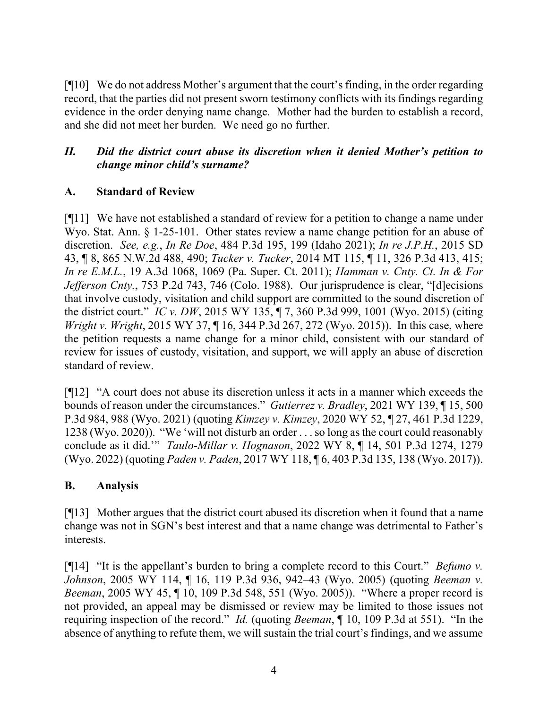[¶10] We do not address Mother's argument that the court's finding, in the order regarding record, that the parties did not present sworn testimony conflicts with its findings regarding evidence in the order denying name change*.* Mother had the burden to establish a record, and she did not meet her burden. We need go no further.

# *II. Did the district court abuse its discretion when it denied Mother's petition to change minor child's surname?*

## **A. Standard of Review**

[¶11] We have not established a standard of review for a petition to change a name under Wyo. Stat. Ann. § 1-25-101. Other states review a name change petition for an abuse of discretion. *See, e.g.*, *In Re Doe*, 484 P.3d 195, 199 (Idaho 2021); *In re J.P.H.*, 2015 SD 43, ¶ 8, 865 N.W.2d 488, 490; *Tucker v. Tucker*, 2014 MT 115, ¶ 11, 326 P.3d 413, 415; *In re E.M.L.*, 19 A.3d 1068, 1069 (Pa. Super. Ct. 2011); *Hamman v. Cnty. Ct. In & For Jefferson Cnty.*, 753 P.2d 743, 746 (Colo. 1988). Our jurisprudence is clear, "[d]ecisions that involve custody, visitation and child support are committed to the sound discretion of the district court." *IC v. DW*, 2015 WY 135, ¶ 7, 360 P.3d 999, 1001 (Wyo. 2015) (citing *Wright v. Wright*, 2015 WY 37, ¶ 16, 344 P.3d 267, 272 (Wyo. 2015)). In this case, where the petition requests a name change for a minor child, consistent with our standard of review for issues of custody, visitation, and support, we will apply an abuse of discretion standard of review.

[¶12] "A court does not abuse its discretion unless it acts in a manner which exceeds the bounds of reason under the circumstances." *Gutierrez v. Bradley*, 2021 WY 139, ¶ 15, 500 P.3d 984, 988 (Wyo. 2021) (quoting *Kimzey v. Kimzey*, 2020 WY 52, ¶ 27, 461 P.3d 1229, 1238 (Wyo. 2020)). "We 'will not disturb an order . . . so long as the court could reasonably conclude as it did.'" *Taulo-Millar v. Hognason*, 2022 WY 8, ¶ 14, 501 P.3d 1274, 1279 (Wyo. 2022) (quoting *Paden v. Paden*, 2017 WY 118, ¶ 6, 403 P.3d 135, 138 (Wyo. 2017)).

# **B. Analysis**

[¶13] Mother argues that the district court abused its discretion when it found that a name change was not in SGN's best interest and that a name change was detrimental to Father's interests.

[¶14] "It is the appellant's burden to bring a complete record to this Court." *Befumo v. Johnson*, 2005 WY 114, ¶ 16, 119 P.3d 936, 942–43 (Wyo. 2005) (quoting *Beeman v. Beeman*, 2005 WY 45, ¶ 10, 109 P.3d 548, 551 (Wyo. 2005)). "Where a proper record is not provided, an appeal may be dismissed or review may be limited to those issues not requiring inspection of the record." *Id.* (quoting *Beeman*, ¶ 10, 109 P.3d at 551). "In the absence of anything to refute them, we will sustain the trial court's findings, and we assume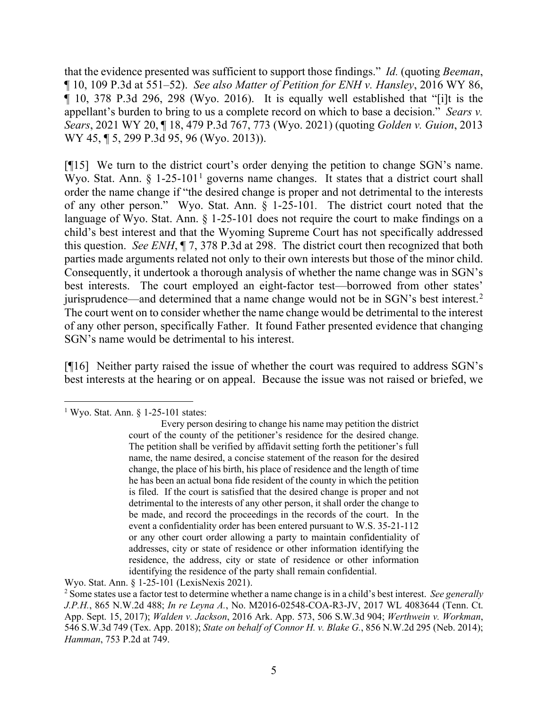that the evidence presented was sufficient to support those findings." *Id.* (quoting *Beeman*, ¶ 10, 109 P.3d at 551–52). *See also Matter of Petition for ENH v. Hansley*, 2016 WY 86, ¶ 10, 378 P.3d 296, 298 (Wyo. 2016). It is equally well established that "[i]t is the appellant's burden to bring to us a complete record on which to base a decision." *Sears v. Sears*, 2021 WY 20, ¶ 18, 479 P.3d 767, 773 (Wyo. 2021) (quoting *Golden v. Guion*, 2013 WY 45, ¶ 5, 299 P.3d 95, 96 (Wyo. 2013)).

[¶15] We turn to the district court's order denying the petition to change SGN's name. Wyo. Stat. Ann.  $\S 1-25-101<sup>1</sup>$  $\S 1-25-101<sup>1</sup>$  $\S 1-25-101<sup>1</sup>$  governs name changes. It states that a district court shall order the name change if "the desired change is proper and not detrimental to the interests of any other person." Wyo. Stat. Ann. § 1-25-101*.* The district court noted that the language of Wyo. Stat. Ann. § 1-25-101 does not require the court to make findings on a child's best interest and that the Wyoming Supreme Court has not specifically addressed this question. *See ENH*, ¶ 7, 378 P.3d at 298. The district court then recognized that both parties made arguments related not only to their own interests but those of the minor child. Consequently, it undertook a thorough analysis of whether the name change was in SGN's best interests. The court employed an eight-factor test—borrowed from other states' jurisprudence—and determined that a name change would not be in SGN's best interest.<sup>[2](#page-5-1)</sup> The court went on to consider whether the name change would be detrimental to the interest of any other person, specifically Father. It found Father presented evidence that changing SGN's name would be detrimental to his interest.

[¶16] Neither party raised the issue of whether the court was required to address SGN's best interests at the hearing or on appeal. Because the issue was not raised or briefed, we

<span id="page-5-0"></span><sup>&</sup>lt;sup>1</sup> Wyo. Stat. Ann.  $\frac{1}{25}$ -101 states:

Every person desiring to change his name may petition the district court of the county of the petitioner's residence for the desired change. The petition shall be verified by affidavit setting forth the petitioner's full name, the name desired, a concise statement of the reason for the desired change, the place of his birth, his place of residence and the length of time he has been an actual bona fide resident of the county in which the petition is filed. If the court is satisfied that the desired change is proper and not detrimental to the interests of any other person, it shall order the change to be made, and record the proceedings in the records of the court. In the event a confidentiality order has been entered pursuant to W.S. 35-21-112 or any other court order allowing a party to maintain confidentiality of addresses, city or state of residence or other information identifying the residence, the address, city or state of residence or other information identifying the residence of the party shall remain confidential.

Wyo. Stat. Ann. § 1-25-101 (LexisNexis 2021).

<span id="page-5-1"></span><sup>2</sup> Some states use a factor test to determine whether a name change is in a child's best interest. *See generally J.P.H.*, 865 N.W.2d 488; *In re Leyna A.*, No. M2016-02548-COA-R3-JV, 2017 WL 4083644 (Tenn. Ct. App. Sept. 15, 2017); *Walden v. Jackson*, 2016 Ark. App. 573, 506 S.W.3d 904; *Werthwein v. Workman*, 546 S.W.3d 749 (Tex. App. 2018); *State on behalf of Connor H. v. Blake G.*, 856 N.W.2d 295 (Neb. 2014); *Hamman*, 753 P.2d at 749.